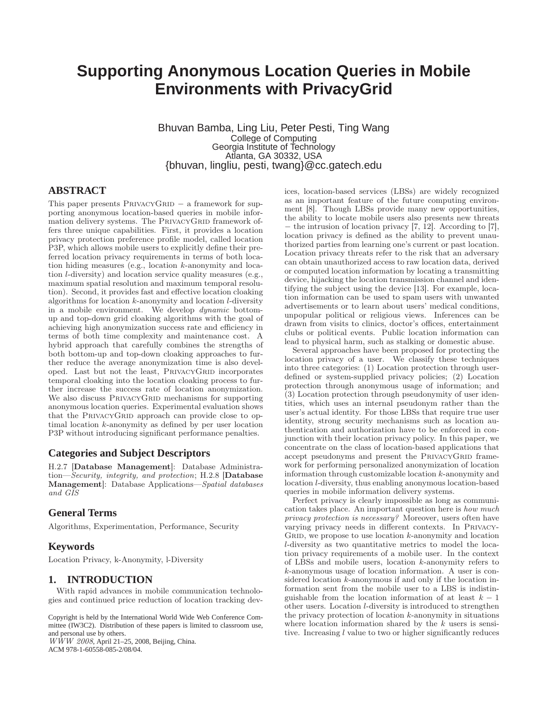# **Supporting Anonymous Location Queries in Mobile Environments with PrivacyGrid**

Bhuvan Bamba, Ling Liu, Peter Pesti, Ting Wang College of Computing Georgia Institute of Technology Atlanta, GA 30332, USA {bhuvan, lingliu, pesti, twang}@cc.gatech.edu

# **ABSTRACT**

This paper presents  $P_{\text{RIVACY}}$ GRID − a framework for supporting anonymous location-based queries in mobile information delivery systems. The PRIVACYGRID framework offers three unique capabilities. First, it provides a location privacy protection preference profile model, called location P3P, which allows mobile users to explicitly define their preferred location privacy requirements in terms of both location hiding measures (e.g., location k-anonymity and location l-diversity) and location service quality measures (e.g., maximum spatial resolution and maximum temporal resolution). Second, it provides fast and effective location cloaking algorithms for location  $k$ -anonymity and location  $l$ -diversity in a mobile environment. We develop dynamic bottomup and top-down grid cloaking algorithms with the goal of achieving high anonymization success rate and efficiency in terms of both time complexity and maintenance cost. A hybrid approach that carefully combines the strengths of both bottom-up and top-down cloaking approaches to further reduce the average anonymization time is also developed. Last but not the least, PRIVACYGRID incorporates temporal cloaking into the location cloaking process to further increase the success rate of location anonymization. We also discuss PRIVACYGRID mechanisms for supporting anonymous location queries. Experimental evaluation shows that the PRIVACYGRID approach can provide close to optimal location k-anonymity as defined by per user location P3P without introducing significant performance penalties.

# **Categories and Subject Descriptors**

H.2.7 [Database Management]: Database Administration—Security, integrity, and protection; H.2.8 [Database Management]: Database Applications—Spatial databases and GIS

# **General Terms**

Algorithms, Experimentation, Performance, Security

# **Keywords**

Location Privacy, k-Anonymity, l-Diversity

# **1. INTRODUCTION**

With rapid advances in mobile communication technologies and continued price reduction of location tracking dev-

Copyright is held by the International World Wide Web Conference Committee (IW3C2). Distribution of these papers is limited to classroom use, and personal use by others.

 $W\dot{W}W$  2008, April 21–25, 2008, Beijing, China. ACM 978-1-60558-085-2/08/04.

ices, location-based services (LBSs) are widely recognized as an important feature of the future computing environment [8]. Though LBSs provide many new opportunities, the ability to locate mobile users also presents new threats − the intrusion of location privacy [7, 12]. According to [7], location privacy is defined as the ability to prevent unauthorized parties from learning one's current or past location. Location privacy threats refer to the risk that an adversary can obtain unauthorized access to raw location data, derived or computed location information by locating a transmitting device, hijacking the location transmission channel and identifying the subject using the device [13]. For example, location information can be used to spam users with unwanted advertisements or to learn about users' medical conditions, unpopular political or religious views. Inferences can be drawn from visits to clinics, doctor's offices, entertainment clubs or political events. Public location information can lead to physical harm, such as stalking or domestic abuse.

Several approaches have been proposed for protecting the location privacy of a user. We classify these techniques into three categories: (1) Location protection through userdefined or system-supplied privacy policies; (2) Location protection through anonymous usage of information; and (3) Location protection through pseudonymity of user identities, which uses an internal pseudonym rather than the user's actual identity. For those LBSs that require true user identity, strong security mechanisms such as location authentication and authorization have to be enforced in conjunction with their location privacy policy. In this paper, we concentrate on the class of location-based applications that accept pseudonyms and present the PRIVACYGRID framework for performing personalized anonymization of location information through customizable location k-anonymity and location l-diversity, thus enabling anonymous location-based queries in mobile information delivery systems.

Perfect privacy is clearly impossible as long as communication takes place. An important question here is how much privacy protection is necessary? Moreover, users often have varying privacy needs in different contexts. In Privacy-GRID, we propose to use location  $k$ -anonymity and location l-diversity as two quantitative metrics to model the location privacy requirements of a mobile user. In the context of LBSs and mobile users, location k-anonymity refers to k-anonymous usage of location information. A user is considered location k-anonymous if and only if the location information sent from the mobile user to a LBS is indistinguishable from the location information of at least  $k - 1$ other users. Location l-diversity is introduced to strengthen the privacy protection of location  $k$ -anonymity in situations where location information shared by the  $k$  users is sensitive. Increasing  $l$  value to two or higher significantly reduces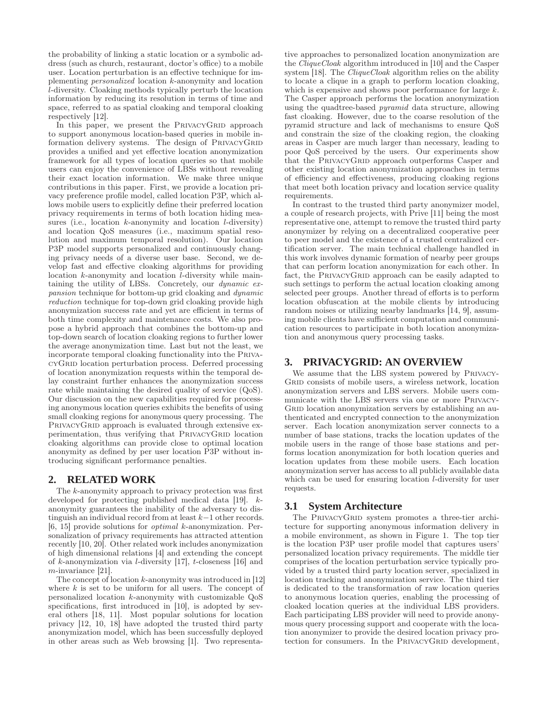the probability of linking a static location or a symbolic address (such as church, restaurant, doctor's office) to a mobile user. Location perturbation is an effective technique for implementing personalized location k-anonymity and location l-diversity. Cloaking methods typically perturb the location information by reducing its resolution in terms of time and space, referred to as spatial cloaking and temporal cloaking respectively [12].

In this paper, we present the PRIVACYGRID approach to support anonymous location-based queries in mobile information delivery systems. The design of PRIVACYGRID provides a unified and yet effective location anonymization framework for all types of location queries so that mobile users can enjoy the convenience of LBSs without revealing their exact location information. We make three unique contributions in this paper. First, we provide a location privacy preference profile model, called location P3P, which allows mobile users to explicitly define their preferred location privacy requirements in terms of both location hiding measures (i.e., location  $k$ -anonymity and location  $l$ -diversity) and location QoS measures (i.e., maximum spatial resolution and maximum temporal resolution). Our location P3P model supports personalized and continuously changing privacy needs of a diverse user base. Second, we develop fast and effective cloaking algorithms for providing location k-anonymity and location l-diversity while maintaining the utility of LBSs. Concretely, our dynamic expansion technique for bottom-up grid cloaking and dynamic reduction technique for top-down grid cloaking provide high anonymization success rate and yet are efficient in terms of both time complexity and maintenance costs. We also propose a hybrid approach that combines the bottom-up and top-down search of location cloaking regions to further lower the average anonymization time. Last but not the least, we incorporate temporal cloaking functionality into the PrivacyGrid location perturbation process. Deferred processing of location anonymization requests within the temporal delay constraint further enhances the anonymization success rate while maintaining the desired quality of service (QoS). Our discussion on the new capabilities required for processing anonymous location queries exhibits the benefits of using small cloaking regions for anonymous query processing. The PRIVACYGRID approach is evaluated through extensive experimentation, thus verifying that PRIVACYGRID location cloaking algorithms can provide close to optimal location anonymity as defined by per user location P3P without introducing significant performance penalties.

#### **2. RELATED WORK**

The k-anonymity approach to privacy protection was first developed for protecting published medical data [19]. kanonymity guarantees the inability of the adversary to distinguish an individual record from at least k−1 other records. [6, 15] provide solutions for optimal k-anonymization. Personalization of privacy requirements has attracted attention recently [10, 20]. Other related work includes anonymization of high dimensional relations [4] and extending the concept of k-anonymization via l-diversity [17], t-closeness [16] and m-invariance [21].

The concept of location k-anonymity was introduced in [12] where  $k$  is set to be uniform for all users. The concept of personalized location k-anonymity with customizable QoS specifications, first introduced in [10], is adopted by several others [18, 11]. Most popular solutions for location privacy [12, 10, 18] have adopted the trusted third party anonymization model, which has been successfully deployed in other areas such as Web browsing [1]. Two representative approaches to personalized location anonymization are the CliqueCloak algorithm introduced in [10] and the Casper system [18]. The *CliqueCloak* algorithm relies on the ability to locate a clique in a graph to perform location cloaking, which is expensive and shows poor performance for large  $k$ . The Casper approach performs the location anonymization using the quadtree-based pyramid data structure, allowing fast cloaking. However, due to the coarse resolution of the pyramid structure and lack of mechanisms to ensure QoS and constrain the size of the cloaking region, the cloaking areas in Casper are much larger than necessary, leading to poor QoS perceived by the users. Our experiments show that the PRIVACYGRID approach outperforms Casper and other existing location anonymization approaches in terms of efficiency and effectiveness, producing cloaking regions that meet both location privacy and location service quality requirements.

In contrast to the trusted third party anonymizer model, a couple of research projects, with Prive [11] being the most representative one, attempt to remove the trusted third party anonymizer by relying on a decentralized cooperative peer to peer model and the existence of a trusted centralized certification server. The main technical challenge handled in this work involves dynamic formation of nearby peer groups that can perform location anonymization for each other. In fact, the PRIVACYGRID approach can be easily adapted to such settings to perform the actual location cloaking among selected peer groups. Another thread of efforts is to perform location obfuscation at the mobile clients by introducing random noises or utilizing nearby landmarks [14, 9], assuming mobile clients have sufficient computation and communication resources to participate in both location anonymization and anonymous query processing tasks.

#### **3. PRIVACYGRID: AN OVERVIEW**

We assume that the LBS system powered by Privacy-GRID consists of mobile users, a wireless network, location anonymization servers and LBS servers. Mobile users communicate with the LBS servers via one or more Privacy-GRID location anonymization servers by establishing an authenticated and encrypted connection to the anonymization server. Each location anonymization server connects to a number of base stations, tracks the location updates of the mobile users in the range of those base stations and performs location anonymization for both location queries and location updates from these mobile users. Each location anonymization server has access to all publicly available data which can be used for ensuring location l-diversity for user requests.

#### **3.1 System Architecture**

The PRIVACYGRID system promotes a three-tier architecture for supporting anonymous information delivery in a mobile environment, as shown in Figure 1. The top tier is the location P3P user profile model that captures users' personalized location privacy requirements. The middle tier comprises of the location perturbation service typically provided by a trusted third party location server, specialized in location tracking and anonymization service. The third tier is dedicated to the transformation of raw location queries to anonymous location queries, enabling the processing of cloaked location queries at the individual LBS providers. Each participating LBS provider will need to provide anonymous query processing support and cooperate with the location anonymizer to provide the desired location privacy protection for consumers. In the PRIVACYGRID development,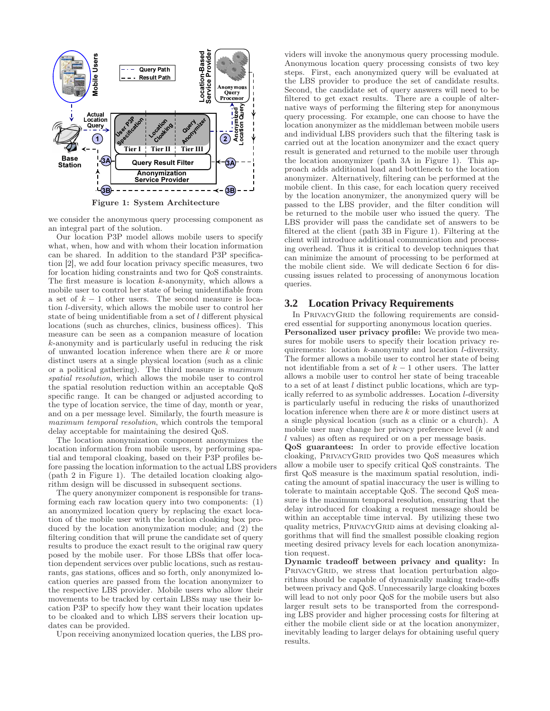

Figure 1: System Architecture

we consider the anonymous query processing component as an integral part of the solution.

Our location P3P model allows mobile users to specify what, when, how and with whom their location information can be shared. In addition to the standard P3P specification [2], we add four location privacy specific measures, two for location hiding constraints and two for QoS constraints. The first measure is location  $k$ -anonymity, which allows a mobile user to control her state of being unidentifiable from a set of  $k - 1$  other users. The second measure is location l-diversity, which allows the mobile user to control her state of being unidentifiable from a set of l different physical locations (such as churches, clinics, business offices). This measure can be seen as a companion measure of location k-anonymity and is particularly useful in reducing the risk of unwanted location inference when there are k or more distinct users at a single physical location (such as a clinic or a political gathering). The third measure is maximum spatial resolution, which allows the mobile user to control the spatial resolution reduction within an acceptable QoS specific range. It can be changed or adjusted according to the type of location service, the time of day, month or year, and on a per message level. Similarly, the fourth measure is maximum temporal resolution, which controls the temporal delay acceptable for maintaining the desired QoS.

The location anonymization component anonymizes the location information from mobile users, by performing spatial and temporal cloaking, based on their P3P profiles before passing the location information to the actual LBS providers (path 2 in Figure 1). The detailed location cloaking algorithm design will be discussed in subsequent sections.

The query anonymizer component is responsible for transforming each raw location query into two components: (1) an anonymized location query by replacing the exact location of the mobile user with the location cloaking box produced by the location anonymization module; and (2) the filtering condition that will prune the candidate set of query results to produce the exact result to the original raw query posed by the mobile user. For those LBSs that offer location dependent services over public locations, such as restaurants, gas stations, offices and so forth, only anonymized location queries are passed from the location anonymizer to the respective LBS provider. Mobile users who allow their movements to be tracked by certain LBSs may use their location P3P to specify how they want their location updates to be cloaked and to which LBS servers their location updates can be provided.

Upon receiving anonymized location queries, the LBS pro-

viders will invoke the anonymous query processing module. Anonymous location query processing consists of two key steps. First, each anonymized query will be evaluated at the LBS provider to produce the set of candidate results. Second, the candidate set of query answers will need to be filtered to get exact results. There are a couple of alternative ways of performing the filtering step for anonymous query processing. For example, one can choose to have the location anonymizer as the middleman between mobile users and individual LBS providers such that the filtering task is carried out at the location anonymizer and the exact query result is generated and returned to the mobile user through the location anonymizer (path 3A in Figure 1). This approach adds additional load and bottleneck to the location anonymizer. Alternatively, filtering can be performed at the mobile client. In this case, for each location query received by the location anonymizer, the anonymized query will be passed to the LBS provider, and the filter condition will be returned to the mobile user who issued the query. The LBS provider will pass the candidate set of answers to be filtered at the client (path 3B in Figure 1). Filtering at the client will introduce additional communication and processing overhead. Thus it is critical to develop techniques that can minimize the amount of processing to be performed at the mobile client side. We will dedicate Section 6 for discussing issues related to processing of anonymous location queries.

#### **3.2 Location Privacy Requirements**

In PRIVACYGRID the following requirements are considered essential for supporting anonymous location queries. Personalized user privacy profile: We provide two measures for mobile users to specify their location privacy requirements: location k-anonymity and location l-diversity. The former allows a mobile user to control her state of being not identifiable from a set of  $k-1$  other users. The latter allows a mobile user to control her state of being traceable to a set of at least l distinct public locations, which are typically referred to as symbolic addresses. Location l-diversity is particularly useful in reducing the risks of unauthorized location inference when there are k or more distinct users at a single physical location (such as a clinic or a church). A mobile user may change her privacy preference level (k and l values) as often as required or on a per message basis.

QoS guarantees: In order to provide effective location cloaking, PrivacyGrid provides two QoS measures which allow a mobile user to specify critical QoS constraints. The first QoS measure is the maximum spatial resolution, indicating the amount of spatial inaccuracy the user is willing to tolerate to maintain acceptable QoS. The second QoS measure is the maximum temporal resolution, ensuring that the delay introduced for cloaking a request message should be within an acceptable time interval. By utilizing these two quality metrics, PrivacyGrid aims at devising cloaking algorithms that will find the smallest possible cloaking region meeting desired privacy levels for each location anonymization request.

Dynamic tradeoff between privacy and quality: In PRIVACYGRID, we stress that location perturbation algorithms should be capable of dynamically making trade-offs between privacy and QoS. Unnecessarily large cloaking boxes will lead to not only poor QoS for the mobile users but also larger result sets to be transported from the corresponding LBS provider and higher processing costs for filtering at either the mobile client side or at the location anonymizer, inevitably leading to larger delays for obtaining useful query results.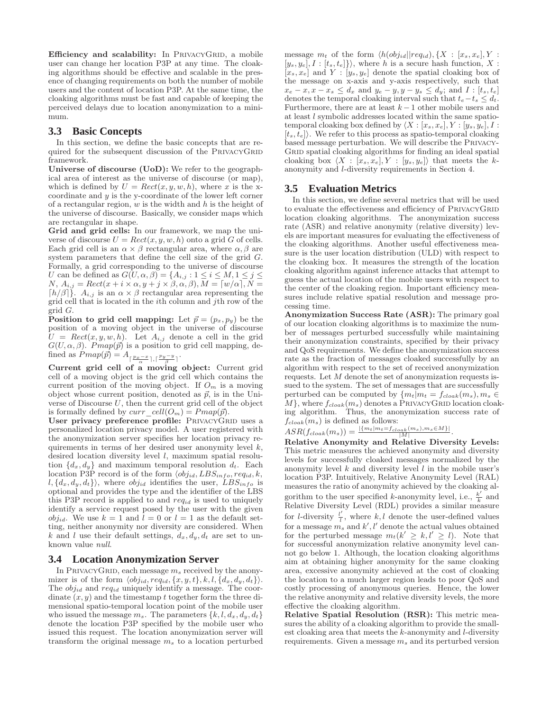Efficiency and scalability: In PRIVACYGRID, a mobile user can change her location P3P at any time. The cloaking algorithms should be effective and scalable in the presence of changing requirements on both the number of mobile users and the content of location P3P. At the same time, the cloaking algorithms must be fast and capable of keeping the perceived delays due to location anonymization to a minimum.

#### **3.3 Basic Concepts**

In this section, we define the basic concepts that are required for the subsequent discussion of the PRIVACYGRID framework.

Universe of discourse (UoD): We refer to the geographical area of interest as the universe of discourse (or map), which is defined by  $U = Rect(x, y, w, h)$ , where x is the xcoordinate and  $y$  is the y-coordinate of the lower left corner of a rectangular region,  $w$  is the width and  $h$  is the height of the universe of discourse. Basically, we consider maps which are rectangular in shape.

Grid and grid cells: In our framework, we map the universe of discourse  $U = Rect(x, y, w, h)$  onto a grid G of cells. Each grid cell is an  $\alpha \times \beta$  rectangular area, where  $\alpha, \beta$  are system parameters that define the cell size of the grid G. Formally, a grid corresponding to the universe of discourse U can be defined as  $G(\hat{U}, \alpha, \beta) = \{A_{i,j} : 1 \leq i \leq M, 1 \leq j \leq \beta\}$  $N, A_{i,j} = Rect(x+i\times\alpha, y+j\times\beta, \alpha, \beta), M = [w/\alpha], N =$  $[h/\beta]$ .  $A_{i,j}$  is an  $\alpha \times \beta$  rectangular area representing the grid cell that is located in the ith column and jth row of the grid G.

**Position to grid cell mapping:** Let  $\vec{p} = (p_x, p_y)$  be the position of a moving object in the universe of discourse  $U = Rect(x, y, w, h)$ . Let  $A_{i,j}$  denote a cell in the grid  $G(U, \alpha, \beta)$ . Pmap( $\vec{p}$ ) is a position to grid cell mapping, defined as  $Pmap(\vec{p}) = A_{\lceil \frac{p_x-x}{\alpha} \rceil, \lceil \frac{p_y-y}{\beta} \rceil}.$ 

Current grid cell of a moving object: Current grid cell of a moving object is the grid cell which contains the current position of the moving object. If  $O_m$  is a moving object whose current position, denoted as  $\vec{p}$ , is in the Universe of Discourse  $U$ , then the current grid cell of the object is formally defined by curr  $cell(O_m) = Pmap(\vec{p}).$ 

User privacy preference profile: PRIVACYGRID uses a personalized location privacy model. A user registered with the anonymization server specifies her location privacy requirements in terms of her desired user anonymity level  $k$ , desired location diversity level l, maximum spatial resolution  $\{d_x, d_y\}$  and maximum temporal resolution  $d_t$ . Each location P3P record is of the form  $\langle obj_{id}, LBS_{info}, req_{id}, k,$  $l, \{d_x, d_y, d_t\}\rangle$ , where *obj<sub>id</sub>* identifies the user,  $LBS_{info}$  is optional and provides the type and the identifier of the LBS this P3P record is applied to and  $req_{id}$  is used to uniquely identify a service request posed by the user with the given *obj<sub>id</sub>*. We use  $k = 1$  and  $l = 0$  or  $l = 1$  as the default setting, neither anonymity nor diversity are considered. When k and l use their default settings,  $d_x, d_y, d_t$  are set to unknown value null.

#### **3.4 Location Anonymization Server**

In PRIVACYGRID, each message  $m_s$  received by the anonymizer is of the form  $\langle obj_{id}, req_{id}, \{x, y, t\}, k, l, \{d_x, d_y, d_t\}\rangle.$ The  $obj_{id}$  and  $req_{id}$  uniquely identify a message. The coordinate  $(x, y)$  and the timestamp t together form the three dimensional spatio-temporal location point of the mobile user who issued the message  $m_s$ . The parameters  $\{k, l, d_x, d_y, d_t\}$ denote the location P3P specified by the mobile user who issued this request. The location anonymization server will transform the original message  $m_s$  to a location perturbed

message  $m_t$  of the form  $\langle h(obj_{id}||req_{id}), \{X : [x_s, x_e], Y :$  $[y_s, y_e], I : [t_s, t_e] \rangle$ , where h is a secure hash function, X :  $[x_s, x_e]$  and  $Y : [y_s, y_e]$  denote the spatial cloaking box of the message on x-axis and y-axis respectively, such that  $x_e - x, x - x_s \le d_x$  and  $y_e - y, y - y_s \le d_y$ ; and  $I : [t_s, t_e]$ denotes the temporal cloaking interval such that  $t_e-t_s \leq d_t$ . Furthermore, there are at least  $k-1$  other mobile users and at least l symbolic addresses located within the same spatiotemporal cloaking box defined by  $\langle X : [x_s, x_e], Y : [y_s, y_e], I$ :  $[t_s, t_e]$ . We refer to this process as spatio-temporal cloaking based message perturbation. We will describe the Privacy-GRID spatial cloaking algorithms for finding an ideal spatial cloaking box  $\langle X : [x_s, x_e], Y : [y_s, y_e] \rangle$  that meets the kanonymity and l-diversity requirements in Section 4.

#### **3.5 Evaluation Metrics**

In this section, we define several metrics that will be used to evaluate the effectiveness and efficiency of PRIVACYGRID location cloaking algorithms. The anonymization success rate (ASR) and relative anonymity (relative diversity) levels are important measures for evaluating the effectiveness of the cloaking algorithms. Another useful effectiveness measure is the user location distribution (ULD) with respect to the cloaking box. It measures the strength of the location cloaking algorithm against inference attacks that attempt to guess the actual location of the mobile users with respect to the center of the cloaking region. Important efficiency measures include relative spatial resolution and message processing time.

Anonymization Success Rate (ASR): The primary goal of our location cloaking algorithms is to maximize the number of messages perturbed successfully while maintaining their anonymization constraints, specified by their privacy and QoS requirements. We define the anonymization success rate as the fraction of messages cloaked successfully by an algorithm with respect to the set of received anonymization requests. Let M denote the set of anonymization requests issued to the system. The set of messages that are successfully perturbed can be computed by  $\{m_t|m_t = f_{clock}(m_s), m_s \in$  $M$ , where  $f_{cloak}(m_s)$  denotes a PRIVACYGRID location cloaking algorithm. Thus, the anonymization success rate of  $f_{clock}(m_s)$  is defined as follows:

 $ASR(f_{clock}(m_s)) = \frac{|\{m_t|m_t = f_{clock}(m_s), m_s \in M\}|}{|M|}.$ 

Relative Anonymity and Relative Diversity Levels: This metric measures the achieved anonymity and diversity levels for successfully cloaked messages normalized by the anonymity level  $k$  and diversity level  $l$  in the mobile user's location P3P. Intuitively, Relative Anonymity Level (RAL) measures the ratio of anonymity achieved by the cloaking algorithm to the user specified k-anonymity level, i.e.,  $\frac{k'}{k}$  $\frac{k}{k}$  and Relative Diversity Level (RDL) provides a similar measure for *l*-diversity  $\frac{l'}{l}$  $\frac{1}{l}$ , where k, l denote the user-defined values for a message  $m_s$  and  $k', l'$  denote the actual values obtained for the perturbed message  $m_t(k' \geq k, l' \geq l)$ . Note that for successful anonymization relative anonymity level cannot go below 1. Although, the location cloaking algorithms aim at obtaining higher anonymity for the same cloaking area, excessive anonymity achieved at the cost of cloaking the location to a much larger region leads to poor QoS and costly processing of anonymous queries. Hence, the lower the relative anonymity and relative diversity levels, the more effective the cloaking algorithm.

Relative Spatial Resolution (RSR): This metric measures the ability of a cloaking algorithm to provide the smallest cloaking area that meets the  $k$ -anonymity and  $l$ -diversity requirements. Given a message  $m_s$  and its perturbed version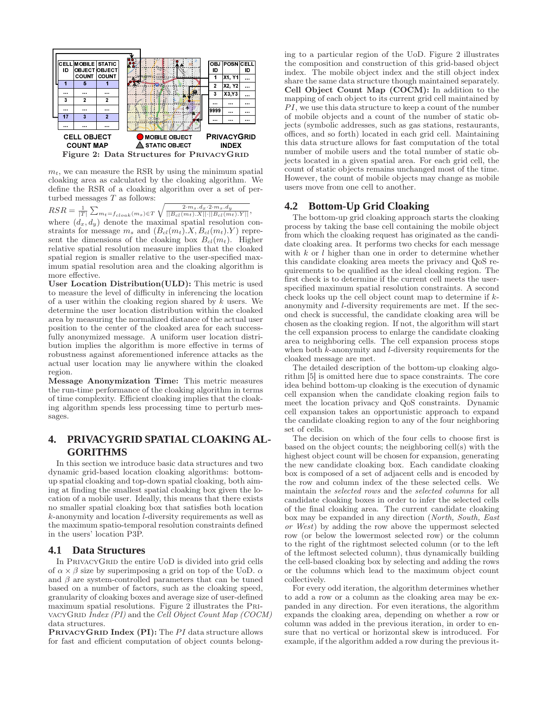

 $m_t$ , we can measure the RSR by using the minimum spatial cloaking area as calculated by the cloaking algorithm. We define the RSR of a cloaking algorithm over a set of perturbed messages  $T$  as follows:

 $RSR = \frac{1}{|T|}\sum_{m_t = f_{clock}(m_s) \in T} \sqrt{\frac{2 \cdot m_s.d_x \cdot 2 \cdot m_s.d_y}{||B_{cl}(m_t).X|| \cdot ||B_{cl}(m_t).Y||}},$ where  $(d_x, d_y)$  denote the maximal spatial resolution constraints for message  $m_s$  and  $(B_{cl}(m_t)$ .  $X, B_{cl}(m_t)$ .  $Y)$  represent the dimensions of the cloaking box  $B_{cl}(m_t)$ . Higher relative spatial resolution measure implies that the cloaked spatial region is smaller relative to the user-specified max-

imum spatial resolution area and the cloaking algorithm is more effective.

User Location Distribution(ULD): This metric is used to measure the level of difficulty in inferencing the location of a user within the cloaking region shared by  $k$  users. We determine the user location distribution within the cloaked area by measuring the normalized distance of the actual user position to the center of the cloaked area for each successfully anonymized message. A uniform user location distribution implies the algorithm is more effective in terms of robustness against aforementioned inference attacks as the actual user location may lie anywhere within the cloaked region.

Message Anonymization Time: This metric measures the run-time performance of the cloaking algorithm in terms of time complexity. Efficient cloaking implies that the cloaking algorithm spends less processing time to perturb messages.

# **4. PRIVACYGRID SPATIAL CLOAKING AL-GORITHMS**

In this section we introduce basic data structures and two dynamic grid-based location cloaking algorithms: bottomup spatial cloaking and top-down spatial cloaking, both aiming at finding the smallest spatial cloaking box given the location of a mobile user. Ideally, this means that there exists no smaller spatial cloaking box that satisfies both location k-anonymity and location l-diversity requirements as well as the maximum spatio-temporal resolution constraints defined in the users' location P3P.

#### **4.1 Data Structures**

In PrivacyGrid the entire UoD is divided into grid cells of  $\alpha \times \beta$  size by superimposing a grid on top of the UoD.  $\alpha$ and  $\beta$  are system-controlled parameters that can be tuned based on a number of factors, such as the cloaking speed, granularity of cloaking boxes and average size of user-defined maximum spatial resolutions. Figure 2 illustrates the PrivacyGrid Index (PI) and the Cell Object Count Map (COCM) data structures.

PRIVACYGRID Index (PI): The PI data structure allows for fast and efficient computation of object counts belong-

 $\frac{1}{\text{9999}}$  PI, we use this data structure to keep a count of the number ing to a particular region of the UoD. Figure 2 illustrates the composition and construction of this grid-based object index. The mobile object index and the still object index share the same data structure though maintained separately. Cell Object Count Map (COCM): In addition to the mapping of each object to its current grid cell maintained by of mobile objects and a count of the number of static objects (symbolic addresses, such as gas stations, restaurants, offices, and so forth) located in each grid cell. Maintaining this data structure allows for fast computation of the total number of mobile users and the total number of static objects located in a given spatial area. For each grid cell, the count of static objects remains unchanged most of the time. However, the count of mobile objects may change as mobile users move from one cell to another.

## **4.2 Bottom-Up Grid Cloaking**

The bottom-up grid cloaking approach starts the cloaking process by taking the base cell containing the mobile object from which the cloaking request has originated as the candidate cloaking area. It performs two checks for each message with  $k$  or  $l$  higher than one in order to determine whether this candidate cloaking area meets the privacy and QoS requirements to be qualified as the ideal cloaking region. The first check is to determine if the current cell meets the userspecified maximum spatial resolution constraints. A second check looks up the cell object count map to determine if kanonymity and l-diversity requirements are met. If the second check is successful, the candidate cloaking area will be chosen as the cloaking region. If not, the algorithm will start the cell expansion process to enlarge the candidate cloaking area to neighboring cells. The cell expansion process stops when both *k*-anonymity and *l*-diversity requirements for the cloaked message are met.

The detailed description of the bottom-up cloaking algorithm [5] is omitted here due to space constraints. The core idea behind bottom-up cloaking is the execution of dynamic cell expansion when the candidate cloaking region fails to meet the location privacy and QoS constraints. Dynamic cell expansion takes an opportunistic approach to expand the candidate cloaking region to any of the four neighboring set of cells.

The decision on which of the four cells to choose first is based on the object counts; the neighboring cell(s) with the highest object count will be chosen for expansion, generating the new candidate cloaking box. Each candidate cloaking box is composed of a set of adjacent cells and is encoded by the row and column index of the these selected cells. We maintain the selected rows and the selected columns for all candidate cloaking boxes in order to infer the selected cells of the final cloaking area. The current candidate cloaking box may be expanded in any direction (North, South, East or West) by adding the row above the uppermost selected row (or below the lowermost selected row) or the column to the right of the rightmost selected column (or to the left of the leftmost selected column), thus dynamically building the cell-based cloaking box by selecting and adding the rows or the columns which lead to the maximum object count collectively.

For every odd iteration, the algorithm determines whether to add a row or a column as the cloaking area may be expanded in any direction. For even iterations, the algorithm expands the cloaking area, depending on whether a row or column was added in the previous iteration, in order to ensure that no vertical or horizontal skew is introduced. For example, if the algorithm added a row during the previous it-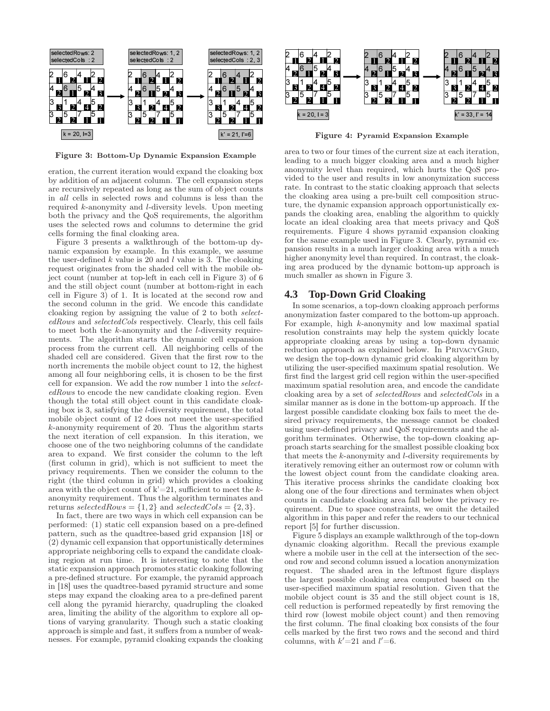

Figure 3: Bottom-Up Dynamic Expansion Example

eration, the current iteration would expand the cloaking box by addition of an adjacent column. The cell expansion steps are recursively repeated as long as the sum of object counts in all cells in selected rows and columns is less than the required k-anonymity and l-diversity levels. Upon meeting both the privacy and the QoS requirements, the algorithm uses the selected rows and columns to determine the grid cells forming the final cloaking area.

Figure 3 presents a walkthrough of the bottom-up dynamic expansion by example. In this example, we assume the user-defined  $k$  value is 20 and  $l$  value is 3. The cloaking request originates from the shaded cell with the mobile object count (number at top-left in each cell in Figure 3) of 6 and the still object count (number at bottom-right in each cell in Figure 3) of 1. It is located at the second row and the second column in the grid. We encode this candidate cloaking region by assigning the value of 2 to both selectedRows and selectedCols respectively. Clearly, this cell fails to meet both the k-anonymity and the l-diversity requirements. The algorithm starts the dynamic cell expansion process from the current cell. All neighboring cells of the shaded cell are considered. Given that the first row to the north increments the mobile object count to 12, the highest among all four neighboring cells, it is chosen to be the first cell for expansion. We add the row number 1 into the selectedRows to encode the new candidate cloaking region. Even though the total still object count in this candidate cloaking box is 3, satisfying the l-diversity requirement, the total mobile object count of 12 does not meet the user-specified k-anonymity requirement of 20. Thus the algorithm starts the next iteration of cell expansion. In this iteration, we choose one of the two neighboring columns of the candidate area to expand. We first consider the column to the left (first column in grid), which is not sufficient to meet the privacy requirements. Then we consider the column to the right (the third column in grid) which provides a cloaking area with the object count of  $k'=21$ , sufficient to meet the kanonymity requirement. Thus the algorithm terminates and returns  $selectedRows = \{1, 2\}$  and  $selectedCols = \{2, 3\}.$ 

In fact, there are two ways in which cell expansion can be performed: (1) static cell expansion based on a pre-defined pattern, such as the quadtree-based grid expansion [18] or (2) dynamic cell expansion that opportunistically determines appropriate neighboring cells to expand the candidate cloaking region at run time. It is interesting to note that the static expansion approach promotes static cloaking following a pre-defined structure. For example, the pyramid approach in [18] uses the quadtree-based pyramid structure and some steps may expand the cloaking area to a pre-defined parent cell along the pyramid hierarchy, quadrupling the cloaked area, limiting the ability of the algorithm to explore all options of varying granularity. Though such a static cloaking approach is simple and fast, it suffers from a number of weaknesses. For example, pyramid cloaking expands the cloaking



Figure 4: Pyramid Expansion Example

area to two or four times of the current size at each iteration, leading to a much bigger cloaking area and a much higher anonymity level than required, which hurts the QoS provided to the user and results in low anonymization success rate. In contrast to the static cloaking approach that selects the cloaking area using a pre-built cell composition structure, the dynamic expansion approach opportunistically expands the cloaking area, enabling the algorithm to quickly locate an ideal cloaking area that meets privacy and QoS requirements. Figure 4 shows pyramid expansion cloaking for the same example used in Figure 3. Clearly, pyramid expansion results in a much larger cloaking area with a much higher anonymity level than required. In contrast, the cloaking area produced by the dynamic bottom-up approach is much smaller as shown in Figure 3.

#### **4.3 Top-Down Grid Cloaking**

In some scenarios, a top-down cloaking approach performs anonymization faster compared to the bottom-up approach. For example, high k-anonymity and low maximal spatial resolution constraints may help the system quickly locate appropriate cloaking areas by using a top-down dynamic reduction approach as explained below. In PRIVACYGRID, we design the top-down dynamic grid cloaking algorithm by utilizing the user-specified maximum spatial resolution. We first find the largest grid cell region within the user-specified maximum spatial resolution area, and encode the candidate cloaking area by a set of selectedRows and selectedCols in a similar manner as is done in the bottom-up approach. If the largest possible candidate cloaking box fails to meet the desired privacy requirements, the message cannot be cloaked using user-defined privacy and QoS requirements and the algorithm terminates. Otherwise, the top-down cloaking approach starts searching for the smallest possible cloaking box that meets the k-anonymity and l-diversity requirements by iteratively removing either an outermost row or column with the lowest object count from the candidate cloaking area. This iterative process shrinks the candidate cloaking box along one of the four directions and terminates when object counts in candidate cloaking area fall below the privacy requirement. Due to space constraints, we omit the detailed algorithm in this paper and refer the readers to our technical report [5] for further discussion.

Figure 5 displays an example walkthrough of the top-down dynamic cloaking algorithm. Recall the previous example where a mobile user in the cell at the intersection of the second row and second column issued a location anonymization request. The shaded area in the leftmost figure displays the largest possible cloaking area computed based on the user-specified maximum spatial resolution. Given that the mobile object count is 35 and the still object count is 18, cell reduction is performed repeatedly by first removing the third row (lowest mobile object count) and then removing the first column. The final cloaking box consists of the four cells marked by the first two rows and the second and third columns, with  $k' = 21$  and  $l' = 6$ .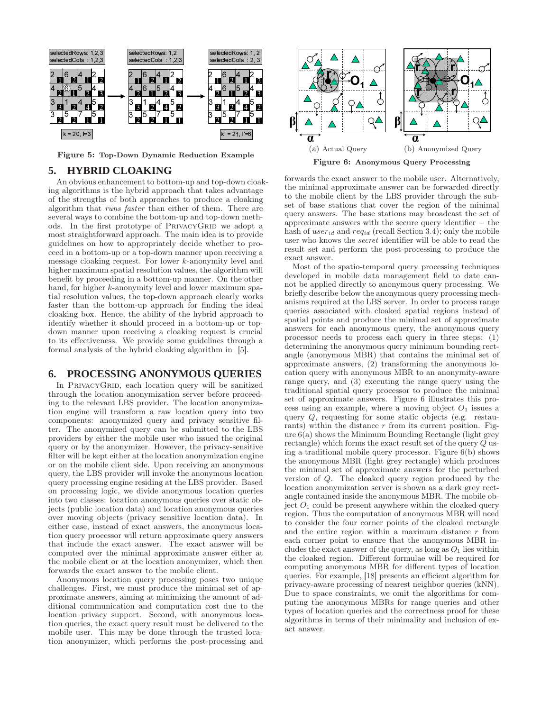

Figure 5: Top-Down Dynamic Reduction Example

#### **5. HYBRID CLOAKING**

An obvious enhancement to bottom-up and top-down cloaking algorithms is the hybrid approach that takes advantage of the strengths of both approaches to produce a cloaking algorithm that runs faster than either of them. There are several ways to combine the bottom-up and top-down methods. In the first prototype of PRIVACYGRID we adopt a most straightforward approach. The main idea is to provide guidelines on how to appropriately decide whether to proceed in a bottom-up or a top-down manner upon receiving a message cloaking request. For lower k-anonymity level and higher maximum spatial resolution values, the algorithm will benefit by proceeding in a bottom-up manner. On the other hand, for higher k-anonymity level and lower maximum spatial resolution values, the top-down approach clearly works faster than the bottom-up approach for finding the ideal cloaking box. Hence, the ability of the hybrid approach to identify whether it should proceed in a bottom-up or topdown manner upon receiving a cloaking request is crucial to its effectiveness. We provide some guidelines through a formal analysis of the hybrid cloaking algorithm in [5].

#### **6. PROCESSING ANONYMOUS QUERIES**

In PRIVACYGRID, each location query will be sanitized through the location anonymization server before proceeding to the relevant LBS provider. The location anonymization engine will transform a raw location query into two components: anonymized query and privacy sensitive filter. The anonymized query can be submitted to the LBS providers by either the mobile user who issued the original query or by the anonymizer. However, the privacy-sensitive filter will be kept either at the location anonymization engine or on the mobile client side. Upon receiving an anonymous query, the LBS provider will invoke the anonymous location query processing engine residing at the LBS provider. Based on processing logic, we divide anonymous location queries into two classes: location anonymous queries over static objects (public location data) and location anonymous queries over moving objects (privacy sensitive location data). In either case, instead of exact answers, the anonymous location query processor will return approximate query answers that include the exact answer. The exact answer will be computed over the minimal approximate answer either at the mobile client or at the location anonymizer, which then forwards the exact answer to the mobile client.

Anonymous location query processing poses two unique challenges. First, we must produce the minimal set of approximate answers, aiming at minimizing the amount of additional communication and computation cost due to the location privacy support. Second, with anonymous location queries, the exact query result must be delivered to the mobile user. This may be done through the trusted location anonymizer, which performs the post-processing and



forwards the exact answer to the mobile user. Alternatively, the minimal approximate answer can be forwarded directly to the mobile client by the LBS provider through the subset of base stations that cover the region of the minimal query answers. The base stations may broadcast the set of approximate answers with the secure query identifier − the hash of  $user_{id}$  and  $req_{id}$  (recall Section 3.4); only the mobile user who knows the secret identifier will be able to read the result set and perform the post-processing to produce the exact answer.

Most of the spatio-temporal query processing techniques developed in mobile data management field to date cannot be applied directly to anonymous query processing. We briefly describe below the anonymous query processing mechanisms required at the LBS server. In order to process range queries associated with cloaked spatial regions instead of spatial points and produce the minimal set of approximate answers for each anonymous query, the anonymous query processor needs to process each query in three steps: (1) determining the anonymous query minimum bounding rectangle (anonymous MBR) that contains the minimal set of approximate answers, (2) transforming the anonymous location query with anonymous MBR to an anonymity-aware range query, and (3) executing the range query using the traditional spatial query processor to produce the minimal set of approximate answers. Figure 6 illustrates this process using an example, where a moving object  $O_1$  issues a query Q, requesting for some static objects (e.g. restaurants) within the distance  $r$  from its current position. Figure  $6(a)$  shows the Minimum Bounding Rectangle (light grey rectangle) which forms the exact result set of the query Q using a traditional mobile query processor. Figure 6(b) shows the anonymous MBR (light grey rectangle) which produces the minimal set of approximate answers for the perturbed version of Q. The cloaked query region produced by the location anonymization server is shown as a dark grey rectangle contained inside the anonymous MBR. The mobile object  $O_1$  could be present anywhere within the cloaked query region. Thus the computation of anonymous MBR will need to consider the four corner points of the cloaked rectangle and the entire region within a maximum distance  $r$  from each corner point to ensure that the anonymous MBR includes the exact answer of the query, as long as  $O_1$  lies within the cloaked region. Different formulae will be required for computing anonymous MBR for different types of location queries. For example, [18] presents an efficient algorithm for privacy-aware processing of nearest neighbor queries (kNN). Due to space constraints, we omit the algorithms for computing the anonymous MBRs for range queries and other types of location queries and the correctness proof for these algorithms in terms of their minimality and inclusion of exact answer.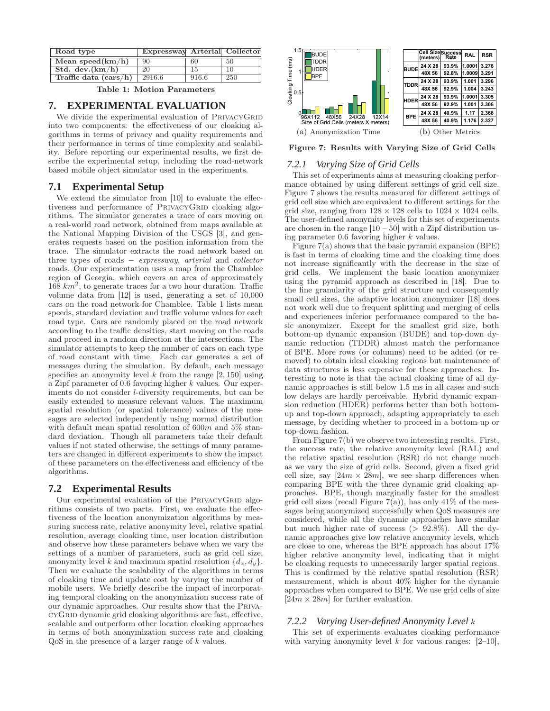| Road type                                                                                                          | Expressway Arterial Collector |       |     |
|--------------------------------------------------------------------------------------------------------------------|-------------------------------|-------|-----|
| Mean speed $(km/h)$                                                                                                | 90                            |       | 50  |
| $\mid$ Std. dev. $(km/h)$                                                                                          | 20.                           |       |     |
| $\operatorname{Traffic}\nolimits \operatorname{data}\nolimits \left( \operatorname{cars}\nolimits /{\bf h}\right)$ | 2916.6                        | 916.6 | 250 |

Table 1: Motion Parameters

### **7. EXPERIMENTAL EVALUATION**

We divide the experimental evaluation of PRIVACYGRID into two components: the effectiveness of our cloaking algorithms in terms of privacy and quality requirements and their performance in terms of time complexity and scalability. Before reporting our experimental results, we first describe the experimental setup, including the road-network based mobile object simulator used in the experiments.

# **7.1 Experimental Setup**

We extend the simulator from [10] to evaluate the effectiveness and performance of PRIVACYGRID cloaking algorithms. The simulator generates a trace of cars moving on a real-world road network, obtained from maps available at the National Mapping Division of the USGS [3], and generates requests based on the position information from the trace. The simulator extracts the road network based on three types of roads − expressway, arterial and collector roads. Our experimentation uses a map from the Chamblee region of Georgia, which covers an area of approximately  $168 km<sup>2</sup>$ , to generate traces for a two hour duration. Traffic volume data from [12] is used, generating a set of 10,000 cars on the road network for Chamblee. Table 1 lists mean speeds, standard deviation and traffic volume values for each road type. Cars are randomly placed on the road network according to the traffic densities, start moving on the roads and proceed in a random direction at the intersections. The simulator attempts to keep the number of cars on each type of road constant with time. Each car generates a set of messages during the simulation. By default, each message specifies an anonymity level k from the range  $[2, 150]$  using a Zipf parameter of 0.6 favoring higher k values. Our experiments do not consider l-diversity requirements, but can be easily extended to measure relevant values. The maximum spatial resolution (or spatial tolerance) values of the messages are selected independently using normal distribution with default mean spatial resolution of  $600m$  and  $5\%$  standard deviation. Though all parameters take their default values if not stated otherwise, the settings of many parameters are changed in different experiments to show the impact of these parameters on the effectiveness and efficiency of the algorithms.

# **7.2 Experimental Results**

Our experimental evaluation of the PRIVACYGRID algorithms consists of two parts. First, we evaluate the effectiveness of the location anonymization algorithms by measuring success rate, relative anonymity level, relative spatial resolution, average cloaking time, user location distribution and observe how these parameters behave when we vary the settings of a number of parameters, such as grid cell size, anonymity level k and maximum spatial resolution  $\{d_x, d_y\}$ . Then we evaluate the scalability of the algorithms in terms of cloaking time and update cost by varying the number of mobile users. We briefly describe the impact of incorporating temporal cloaking on the anonymization success rate of our dynamic approaches. Our results show that the PrivacyGrid dynamic grid cloaking algorithms are fast, effective, scalable and outperform other location cloaking approaches in terms of both anonymization success rate and cloaking  $QoS$  in the presence of a larger range of  $k$  values.



Figure 7: Results with Varying Size of Grid Cells

#### *7.2.1 Varying Size of Grid Cells*

This set of experiments aims at measuring cloaking performance obtained by using different settings of grid cell size. Figure 7 shows the results measured for different settings of grid cell size which are equivalent to different settings for the grid size, ranging from  $128 \times 128$  cells to  $1024 \times 1024$  cells. The user-defined anonymity levels for this set of experiments are chosen in the range  $[10 - 50]$  with a Zipf distribution using parameter 0.6 favoring higher k values.

Figure 7(a) shows that the basic pyramid expansion (BPE) is fast in terms of cloaking time and the cloaking time does not increase significantly with the decrease in the size of grid cells. We implement the basic location anonymizer using the pyramid approach as described in [18]. Due to the fine granularity of the grid structure and consequently small cell sizes, the adaptive location anonymizer [18] does not work well due to frequent splitting and merging of cells and experiences inferior performance compared to the basic anonymizer. Except for the smallest grid size, both bottom-up dynamic expansion (BUDE) and top-down dynamic reduction (TDDR) almost match the performance of BPE. More rows (or columns) need to be added (or removed) to obtain ideal cloaking regions but maintenance of data structures is less expensive for these approaches. Interesting to note is that the actual cloaking time of all dynamic approaches is still below 1.5 ms in all cases and such low delays are hardly perceivable. Hybrid dynamic expansion reduction (HDER) performs better than both bottomup and top-down approach, adapting appropriately to each message, by deciding whether to proceed in a bottom-up or top-down fashion.

From Figure 7(b) we observe two interesting results. First, the success rate, the relative anonymity level (RAL) and the relative spatial resolution (RSR) do not change much as we vary the size of grid cells. Second, given a fixed grid cell size, say  $[24m \times 28m]$ , we see sharp differences when comparing BPE with the three dynamic grid cloaking approaches. BPE, though marginally faster for the smallest grid cell sizes (recall Figure 7(a)), has only  $41\%$  of the messages being anonymized successfully when QoS measures are considered, while all the dynamic approaches have similar but much higher rate of success  $(> 92.8\%)$ . All the dynamic approaches give low relative anonymity levels, which are close to one, whereas the BPE approach has about 17% higher relative anonymity level, indicating that it might be cloaking requests to unnecessarily larger spatial regions. This is confirmed by the relative spatial resolution (RSR) measurement, which is about 40% higher for the dynamic approaches when compared to BPE. We use grid cells of size  $[24m \times 28m]$  for further evaluation.

#### *7.2.2 Varying User-defined Anonymity Level* k

This set of experiments evaluates cloaking performance with varying anonymity level k for various ranges:  $[2-10]$ ,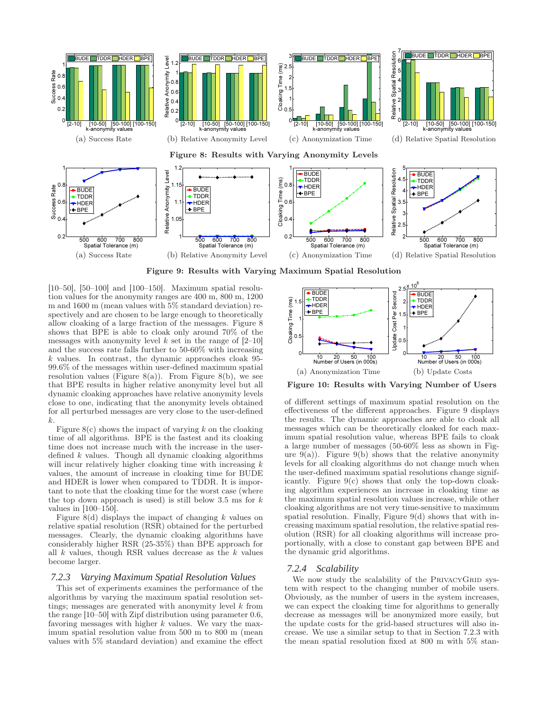

Figure 9: Results with Varying Maximum Spatial Resolution

[10–50], [50–100] and [100–150]. Maximum spatial resolution values for the anonymity ranges are 400 m, 800 m, 1200 m and 1600 m (mean values with 5% standard deviation) respectively and are chosen to be large enough to theoretically allow cloaking of a large fraction of the messages. Figure 8 shows that BPE is able to cloak only around 70% of the messages with anonymity level  $k$  set in the range of  $[2-10]$ and the success rate falls further to 50-60% with increasing k values. In contrast, the dynamic approaches cloak 95- 99.6% of the messages within user-defined maximum spatial resolution values (Figure 8(a)). From Figure 8(b), we see that BPE results in higher relative anonymity level but all dynamic cloaking approaches have relative anonymity levels close to one, indicating that the anonymity levels obtained for all perturbed messages are very close to the user-defined k.

Figure  $8(c)$  shows the impact of varying k on the cloaking time of all algorithms. BPE is the fastest and its cloaking time does not increase much with the increase in the userdefined  $k$  values. Though all dynamic cloaking algorithms will incur relatively higher cloaking time with increasing  $k$ values, the amount of increase in cloaking time for BUDE and HDER is lower when compared to TDDR. It is important to note that the cloaking time for the worst case (where the top down approach is used) is still below 3.5 ms for  $k$ values in [100–150].

Figure 8(d) displays the impact of changing  $k$  values on relative spatial resolution (RSR) obtained for the perturbed messages. Clearly, the dynamic cloaking algorithms have considerably higher RSR (25-35%) than BPE approach for all  $k$  values, though RSR values decrease as the  $k$  values become larger.

#### *7.2.3 Varying Maximum Spatial Resolution Values*

This set of experiments examines the performance of the algorithms by varying the maximum spatial resolution settings; messages are generated with anonymity level  $k$  from the range [10–50] with Zipf distribution using parameter 0.6, favoring messages with higher  $k$  values. We vary the maximum spatial resolution value from 500 m to 800 m (mean values with 5% standard deviation) and examine the effect



Figure 10: Results with Varying Number of Users

of different settings of maximum spatial resolution on the effectiveness of the different approaches. Figure 9 displays the results. The dynamic approaches are able to cloak all messages which can be theoretically cloaked for each maximum spatial resolution value, whereas BPE fails to cloak a large number of messages (50-60% less as shown in Figure  $9(a)$ ). Figure  $9(b)$  shows that the relative anonymity levels for all cloaking algorithms do not change much when the user-defined maximum spatial resolutions change significantly. Figure  $9(c)$  shows that only the top-down cloaking algorithm experiences an increase in cloaking time as the maximum spatial resolution values increase, while other cloaking algorithms are not very time-sensitive to maximum spatial resolution. Finally, Figure  $9(d)$  shows that with increasing maximum spatial resolution, the relative spatial resolution (RSR) for all cloaking algorithms will increase proportionally, with a close to constant gap between BPE and the dynamic grid algorithms.

#### *7.2.4 Scalability*

We now study the scalability of the PRIVACYGRID system with respect to the changing number of mobile users. Obviously, as the number of users in the system increases, we can expect the cloaking time for algorithms to generally decrease as messages will be anonymized more easily, but the update costs for the grid-based structures will also increase. We use a similar setup to that in Section 7.2.3 with the mean spatial resolution fixed at 800 m with 5% stan